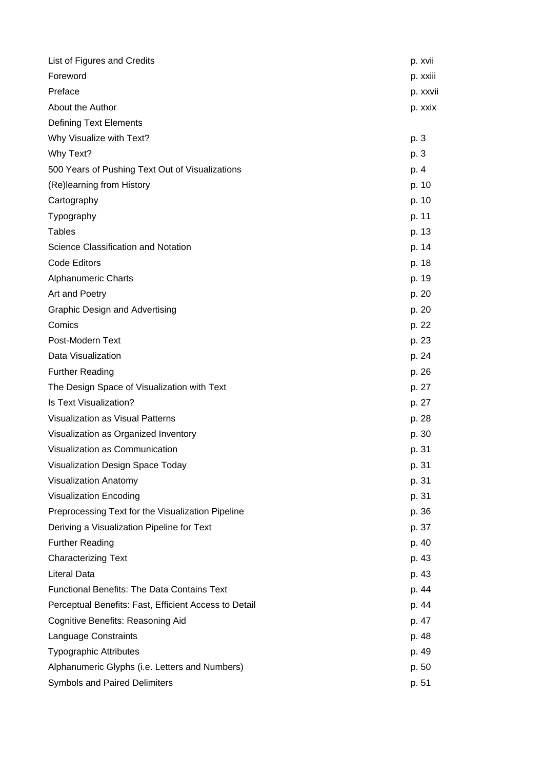| List of Figures and Credits                           | p. xvii  |
|-------------------------------------------------------|----------|
| Foreword                                              | p. xxiii |
| Preface                                               | p. xxvii |
| About the Author                                      | p. xxix  |
| <b>Defining Text Elements</b>                         |          |
| Why Visualize with Text?                              | p. 3     |
| Why Text?                                             | p. 3     |
| 500 Years of Pushing Text Out of Visualizations       | p. 4     |
| (Re)learning from History                             | p. 10    |
| Cartography                                           | p. 10    |
| Typography                                            | p. 11    |
| <b>Tables</b>                                         | p. 13    |
| Science Classification and Notation                   | p. 14    |
| <b>Code Editors</b>                                   | p. 18    |
| <b>Alphanumeric Charts</b>                            | p. 19    |
| Art and Poetry                                        | p. 20    |
| <b>Graphic Design and Advertising</b>                 | p. 20    |
| Comics                                                | p. 22    |
| Post-Modern Text                                      | p. 23    |
| Data Visualization                                    | p. 24    |
| <b>Further Reading</b>                                | p. 26    |
| The Design Space of Visualization with Text           | p. 27    |
| Is Text Visualization?                                | p. 27    |
| Visualization as Visual Patterns                      | p. 28    |
| Visualization as Organized Inventory                  | p. 30    |
| Visualization as Communication                        | p. 31    |
| Visualization Design Space Today                      | p. 31    |
| Visualization Anatomy                                 | p. 31    |
| <b>Visualization Encoding</b>                         | p. 31    |
| Preprocessing Text for the Visualization Pipeline     | p. 36    |
| Deriving a Visualization Pipeline for Text            | p. 37    |
| <b>Further Reading</b>                                | p. 40    |
| <b>Characterizing Text</b>                            | p. 43    |
| <b>Literal Data</b>                                   | p. 43    |
| <b>Functional Benefits: The Data Contains Text</b>    | p. 44    |
| Perceptual Benefits: Fast, Efficient Access to Detail | p. 44    |
| Cognitive Benefits: Reasoning Aid                     | p. 47    |
| Language Constraints                                  | p. 48    |
| <b>Typographic Attributes</b>                         | p. 49    |
| Alphanumeric Glyphs (i.e. Letters and Numbers)        | p. 50    |
| Symbols and Paired Delimiters                         | p. 51    |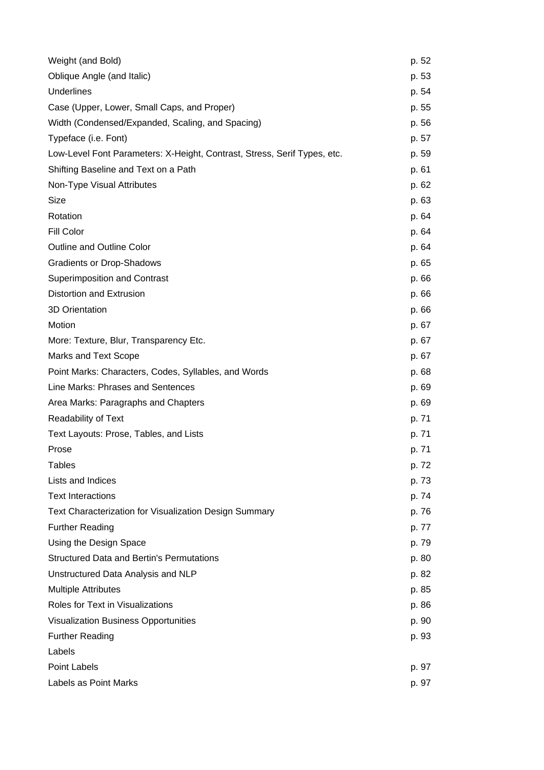| Weight (and Bold)                                                        | p. 52 |
|--------------------------------------------------------------------------|-------|
| Oblique Angle (and Italic)                                               | p. 53 |
| <b>Underlines</b>                                                        | p. 54 |
| Case (Upper, Lower, Small Caps, and Proper)                              | p. 55 |
| Width (Condensed/Expanded, Scaling, and Spacing)                         | p. 56 |
| Typeface (i.e. Font)                                                     | p. 57 |
| Low-Level Font Parameters: X-Height, Contrast, Stress, Serif Types, etc. | p. 59 |
| Shifting Baseline and Text on a Path                                     | p. 61 |
| Non-Type Visual Attributes                                               | p. 62 |
| Size                                                                     | p. 63 |
| Rotation                                                                 | p. 64 |
| <b>Fill Color</b>                                                        | p. 64 |
| <b>Outline and Outline Color</b>                                         | p. 64 |
| <b>Gradients or Drop-Shadows</b>                                         | p. 65 |
| <b>Superimposition and Contrast</b>                                      | p. 66 |
| Distortion and Extrusion                                                 | p. 66 |
| 3D Orientation                                                           | p. 66 |
| Motion                                                                   | p. 67 |
| More: Texture, Blur, Transparency Etc.                                   | p. 67 |
| <b>Marks and Text Scope</b>                                              | p. 67 |
| Point Marks: Characters, Codes, Syllables, and Words                     | p. 68 |
| Line Marks: Phrases and Sentences                                        | p. 69 |
| Area Marks: Paragraphs and Chapters                                      | p. 69 |
| <b>Readability of Text</b>                                               | p. 71 |
| Text Layouts: Prose, Tables, and Lists                                   | p. 71 |
| Prose                                                                    | p. 71 |
| <b>Tables</b>                                                            | p. 72 |
| Lists and Indices                                                        | p. 73 |
| <b>Text Interactions</b>                                                 | p. 74 |
| Text Characterization for Visualization Design Summary                   | p. 76 |
| <b>Further Reading</b>                                                   | p. 77 |
| Using the Design Space                                                   | p. 79 |
| <b>Structured Data and Bertin's Permutations</b>                         | p. 80 |
| Unstructured Data Analysis and NLP                                       | p. 82 |
| <b>Multiple Attributes</b>                                               | p. 85 |
| Roles for Text in Visualizations                                         | p. 86 |
| <b>Visualization Business Opportunities</b>                              | p. 90 |
| <b>Further Reading</b>                                                   | p. 93 |
| Labels                                                                   |       |
| Point Labels                                                             | p. 97 |
| Labels as Point Marks                                                    | p. 97 |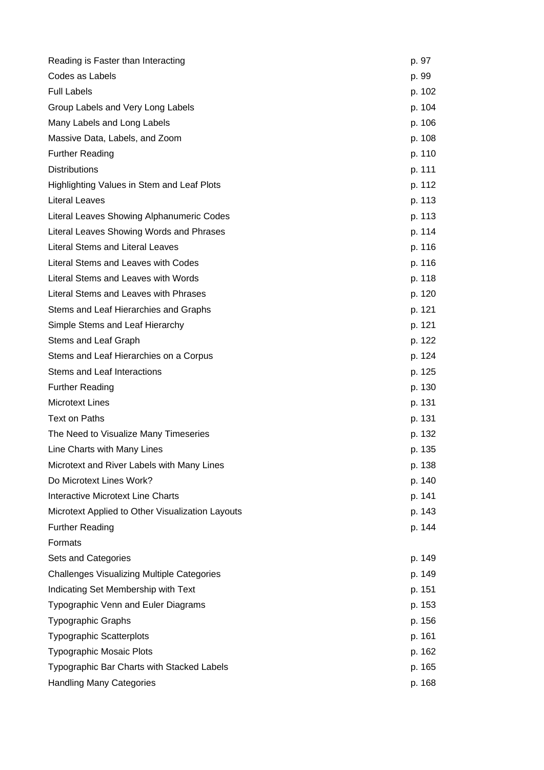| Reading is Faster than Interacting                | p. 97  |
|---------------------------------------------------|--------|
| Codes as Labels                                   | p. 99  |
| <b>Full Labels</b>                                | p. 102 |
| Group Labels and Very Long Labels                 | p. 104 |
| Many Labels and Long Labels                       | p. 106 |
| Massive Data, Labels, and Zoom                    | p. 108 |
| <b>Further Reading</b>                            | p. 110 |
| <b>Distributions</b>                              | p. 111 |
| Highlighting Values in Stem and Leaf Plots        | p. 112 |
| <b>Literal Leaves</b>                             | p. 113 |
| Literal Leaves Showing Alphanumeric Codes         | p. 113 |
| Literal Leaves Showing Words and Phrases          | p. 114 |
| <b>Literal Stems and Literal Leaves</b>           | p. 116 |
| Literal Stems and Leaves with Codes               | p. 116 |
| Literal Stems and Leaves with Words               | p. 118 |
| Literal Stems and Leaves with Phrases             | p. 120 |
| Stems and Leaf Hierarchies and Graphs             | p. 121 |
| Simple Stems and Leaf Hierarchy                   | p. 121 |
| Stems and Leaf Graph                              | p. 122 |
| Stems and Leaf Hierarchies on a Corpus            | p. 124 |
| Stems and Leaf Interactions                       | p. 125 |
| <b>Further Reading</b>                            | p. 130 |
| <b>Microtext Lines</b>                            | p. 131 |
| Text on Paths                                     | p. 131 |
| The Need to Visualize Many Timeseries             | p. 132 |
| Line Charts with Many Lines                       | p. 135 |
| Microtext and River Labels with Many Lines        | p. 138 |
| Do Microtext Lines Work?                          | p. 140 |
| <b>Interactive Microtext Line Charts</b>          | p. 141 |
| Microtext Applied to Other Visualization Layouts  | p. 143 |
| <b>Further Reading</b>                            | p. 144 |
| Formats                                           |        |
| Sets and Categories                               | p. 149 |
| <b>Challenges Visualizing Multiple Categories</b> | p. 149 |
| Indicating Set Membership with Text               | p. 151 |
| Typographic Venn and Euler Diagrams               | p. 153 |
| <b>Typographic Graphs</b>                         | p. 156 |
| <b>Typographic Scatterplots</b>                   | p. 161 |
| <b>Typographic Mosaic Plots</b>                   | p. 162 |
| Typographic Bar Charts with Stacked Labels        | p. 165 |
| <b>Handling Many Categories</b>                   | p. 168 |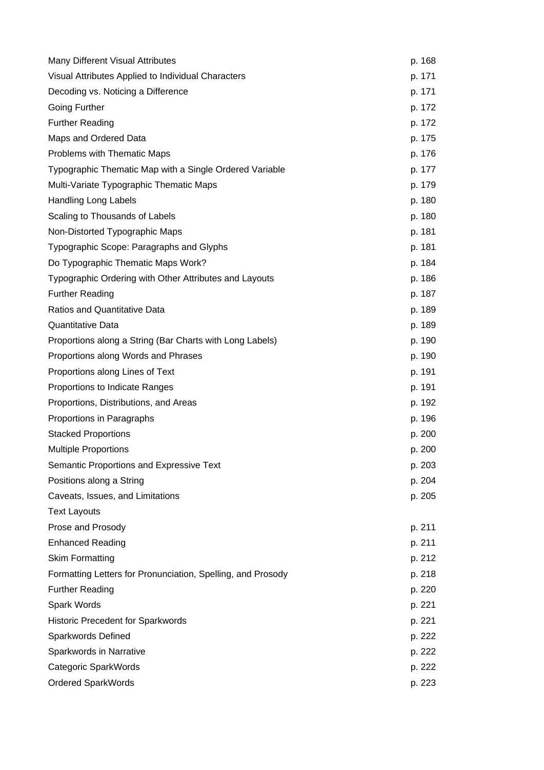| Many Different Visual Attributes                            | p. 168 |
|-------------------------------------------------------------|--------|
| Visual Attributes Applied to Individual Characters          | p. 171 |
| Decoding vs. Noticing a Difference                          | p. 171 |
| <b>Going Further</b>                                        | p. 172 |
| <b>Further Reading</b>                                      | p. 172 |
| Maps and Ordered Data                                       | p. 175 |
| Problems with Thematic Maps                                 | p. 176 |
| Typographic Thematic Map with a Single Ordered Variable     | p. 177 |
| Multi-Variate Typographic Thematic Maps                     | p. 179 |
| <b>Handling Long Labels</b>                                 | p. 180 |
| Scaling to Thousands of Labels                              | p. 180 |
| Non-Distorted Typographic Maps                              | p. 181 |
| Typographic Scope: Paragraphs and Glyphs                    | p. 181 |
| Do Typographic Thematic Maps Work?                          | p. 184 |
| Typographic Ordering with Other Attributes and Layouts      | p. 186 |
| <b>Further Reading</b>                                      | p. 187 |
| <b>Ratios and Quantitative Data</b>                         | p. 189 |
| Quantitative Data                                           | p. 189 |
| Proportions along a String (Bar Charts with Long Labels)    | p. 190 |
| Proportions along Words and Phrases                         | p. 190 |
| Proportions along Lines of Text                             | p. 191 |
| Proportions to Indicate Ranges                              | p. 191 |
| Proportions, Distributions, and Areas                       | p. 192 |
| Proportions in Paragraphs                                   | p. 196 |
| <b>Stacked Proportions</b>                                  | p. 200 |
| <b>Multiple Proportions</b>                                 | p. 200 |
| Semantic Proportions and Expressive Text                    | p. 203 |
| Positions along a String                                    | p. 204 |
| Caveats, Issues, and Limitations                            | p. 205 |
| <b>Text Layouts</b>                                         |        |
| Prose and Prosody                                           | p. 211 |
| <b>Enhanced Reading</b>                                     | p. 211 |
| <b>Skim Formatting</b>                                      | p. 212 |
| Formatting Letters for Pronunciation, Spelling, and Prosody | p. 218 |
| <b>Further Reading</b>                                      | p. 220 |
| Spark Words                                                 | p. 221 |
| <b>Historic Precedent for Sparkwords</b>                    | p. 221 |
| Sparkwords Defined                                          | p. 222 |
| Sparkwords in Narrative                                     | p. 222 |
| Categoric SparkWords                                        | p. 222 |
| <b>Ordered SparkWords</b>                                   | p. 223 |